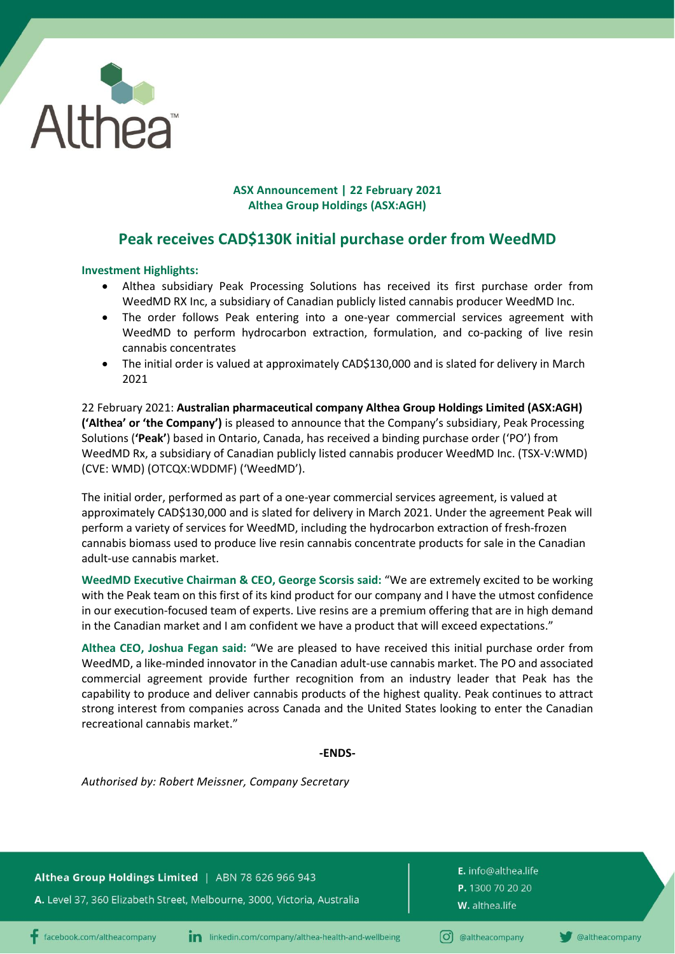

## **ASX Announcement | 22 February 2021 Althea Group Holdings (ASX:AGH)**

# **Peak receives CAD\$130K initial purchase order from WeedMD**

## **Investment Highlights:**

- Althea subsidiary Peak Processing Solutions has received its first purchase order from WeedMD RX Inc, a subsidiary of Canadian publicly listed cannabis producer WeedMD Inc.
- The order follows Peak entering into a one-year commercial services agreement with WeedMD to perform hydrocarbon extraction, formulation, and co-packing of live resin cannabis concentrates
- The initial order is valued at approximately CAD\$130,000 and is slated for delivery in March 2021

22 February 2021: **Australian pharmaceutical company Althea Group Holdings Limited (ASX:AGH) ('Althea' or 'the Company')** is pleased to announce that the Company's subsidiary, Peak Processing Solutions (**'Peak'**) based in Ontario, Canada, has received a binding purchase order ('PO') from WeedMD Rx, a subsidiary of Canadian publicly listed cannabis producer WeedMD Inc. (TSX-V:WMD) (CVE: WMD) (OTCQX:WDDMF) ('WeedMD').

The initial order, performed as part of a one-year commercial services agreement, is valued at approximately CAD\$130,000 and is slated for delivery in March 2021. Under the agreement Peak will perform a variety of services for WeedMD, including the hydrocarbon extraction of fresh-frozen cannabis biomass used to produce live resin cannabis concentrate products for sale in the Canadian adult-use cannabis market.

**WeedMD Executive Chairman & CEO, George Scorsis said:** "We are extremely excited to be working with the Peak team on this first of its kind product for our company and I have the utmost confidence in our execution-focused team of experts. Live resins are a premium offering that are in high demand in the Canadian market and I am confident we have a product that will exceed expectations."

**Althea CEO, Joshua Fegan said:** "We are pleased to have received this initial purchase order from WeedMD, a like-minded innovator in the Canadian adult-use cannabis market. The PO and associated commercial agreement provide further recognition from an industry leader that Peak has the capability to produce and deliver cannabis products of the highest quality. Peak continues to attract strong interest from companies across Canada and the United States looking to enter the Canadian recreational cannabis market."

#### **-ENDS-**

*Authorised by: Robert Meissner, Company Secretary*

Althea Group Holdings Limited | ABN 78 626 966 943

A. Level 37, 360 Elizabeth Street, Melbourne, 3000, Victoria, Australia

E. info@althea.life P. 1300 70 20 20 W. althea.life